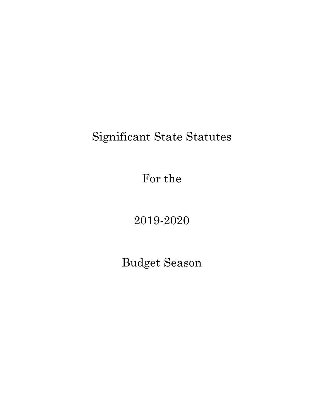# Significant State Statutes

For the

2019-2020

Budget Season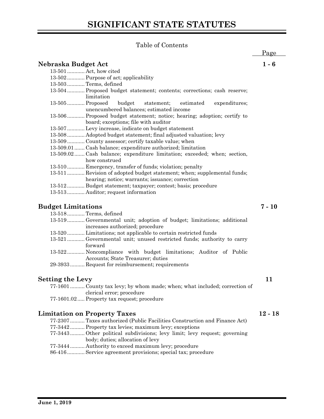# **SIGNIFICANT STATE STATUTES**

# Table of Contents

|                           |                                                                                                                 | Page      |
|---------------------------|-----------------------------------------------------------------------------------------------------------------|-----------|
|                           | Nebraska Budget Act                                                                                             | $1 - 6$   |
|                           | 13-501  Act, how cited                                                                                          |           |
|                           | 13-502 Purpose of act; applicability                                                                            |           |
|                           | 13-503  Terms, defined                                                                                          |           |
|                           | 13-504 Proposed budget statement; contents; corrections; cash reserve;<br>limitation                            |           |
|                           | 13-505  Proposed<br>budget<br>statement;<br>estimated<br>expenditures;                                          |           |
|                           | unencumbered balances; estimated income                                                                         |           |
|                           | 13-506 Proposed budget statement; notice; hearing; adoption; certify to<br>board; exceptions; file with auditor |           |
|                           | 13-507 Levy increase, indicate on budget statement                                                              |           |
|                           | 13-508 Adopted budget statement; final adjusted valuation; levy                                                 |           |
|                           | 13-509 County assessor; certify taxable value; when                                                             |           |
|                           | 13-509.01  Cash balance; expenditure authorized; limitation                                                     |           |
|                           | 13-509.02 Cash balance; expenditure limitation; exceeded; when; section,                                        |           |
|                           | how construed                                                                                                   |           |
|                           | 13-510 Emergency, transfer of funds; violation; penalty                                                         |           |
|                           | 13-511 Revision of adopted budget statement; when; supplemental funds;                                          |           |
|                           | hearing; notice; warrants; issuance; correction                                                                 |           |
|                           | 13-512 Budget statement; taxpayer; contest; basis; procedure                                                    |           |
|                           | 13-513 Auditor; request information                                                                             |           |
|                           |                                                                                                                 |           |
| <b>Budget Limitations</b> |                                                                                                                 | $7 - 10$  |
|                           | 13-518 Terms, defined                                                                                           |           |
|                           | 13-519Governmental unit; adoption of budget; limitations; additional                                            |           |
|                           | increases authorized; procedure                                                                                 |           |
|                           | 13-520 Limitations; not applicable to certain restricted funds                                                  |           |
|                           | 13-521 Governmental unit; unused restricted funds; authority to carry                                           |           |
|                           | forward                                                                                                         |           |
|                           | 13-522 Noncompliance with budget limitations; Auditor of Public<br>Accounts; State Treasurer; duties            |           |
|                           | 29-3933 Request for reimbursement; requirements                                                                 |           |
|                           |                                                                                                                 |           |
| Setting the Levy          |                                                                                                                 | 11        |
|                           | 77-1601 County tax levy; by whom made; when; what included; correction of<br>clerical error; procedure          |           |
|                           | 77-1601.02 Property tax request; procedure                                                                      |           |
|                           |                                                                                                                 |           |
|                           | <b>Limitation on Property Taxes</b>                                                                             | $12 - 18$ |
|                           | 77-2307 Taxes authorized (Public Facilities Construction and Finance Act)                                       |           |
|                           | 77-3442 Property tax levies; maximum levy; exceptions                                                           |           |
|                           | 77-3443Other political subdivisions; levy limit; levy request; governing<br>body; duties; allocation of levy    |           |
|                           | 77-3444  Authority to exceed maximum levy; procedure                                                            |           |

86-416............ Service agreement provisions; special tax; procedure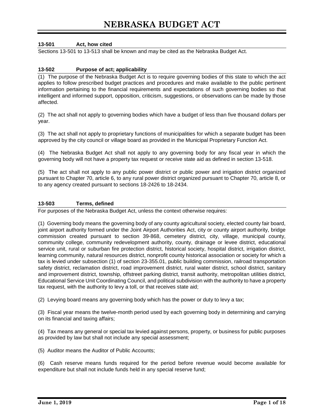# **13-501 Act, how cited**

Sections 13-501 to 13-513 shall be known and may be cited as the Nebraska Budget Act.

#### **13-502 Purpose of act; applicability**

(1) The purpose of the Nebraska Budget Act is to require governing bodies of this state to which the act applies to follow prescribed budget practices and procedures and make available to the public pertinent information pertaining to the financial requirements and expectations of such governing bodies so that intelligent and informed support, opposition, criticism, suggestions, or observations can be made by those affected.

(2) The act shall not apply to governing bodies which have a budget of less than five thousand dollars per year.

(3) The act shall not apply to proprietary functions of municipalities for which a separate budget has been approved by the city council or village board as provided in the Municipal Proprietary Function Act.

(4) The Nebraska Budget Act shall not apply to any governing body for any fiscal year in which the governing body will not have a property tax request or receive state aid as defined in section 13-518.

(5) The act shall not apply to any public power district or public power and irrigation district organized pursuant to Chapter 70, article 6, to any rural power district organized pursuant to Chapter 70, article 8, or to any agency created pursuant to sections 18-2426 to 18-2434.

#### **13-503 Terms, defined**

For purposes of the Nebraska Budget Act, unless the context otherwise requires:

(1) Governing body means the governing body of any county agricultural society, elected county fair board, joint airport authority formed under the Joint Airport Authorities Act, city or county airport authority, bridge commission created pursuant to section 39-868, cemetery district, city, village, municipal county, community college, community redevelopment authority, county, drainage or levee district, educational service unit, rural or suburban fire protection district, historical society, hospital district, irrigation district, learning community, natural resources district, nonprofit county historical association or society for which a tax is levied under subsection (1) of section 23-355.01, public building commission, railroad transportation safety district, reclamation district, road improvement district, rural water district, school district, sanitary and improvement district, township, offstreet parking district, transit authority, metropolitan utilities district, Educational Service Unit Coordinating Council, and political subdivision with the authority to have a property tax request, with the authority to levy a toll, or that receives state aid;

(2) Levying board means any governing body which has the power or duty to levy a tax;

(3) Fiscal year means the twelve-month period used by each governing body in determining and carrying on its financial and taxing affairs;

(4) Tax means any general or special tax levied against persons, property, or business for public purposes as provided by law but shall not include any special assessment;

(5) Auditor means the Auditor of Public Accounts;

(6) Cash reserve means funds required for the period before revenue would become available for expenditure but shall not include funds held in any special reserve fund;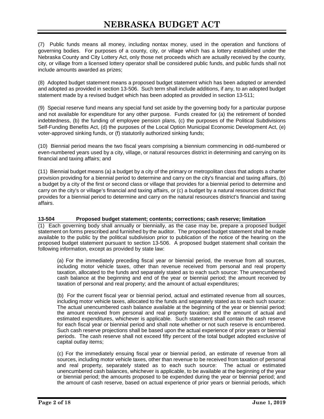(7) Public funds means all money, including nontax money, used in the operation and functions of governing bodies. For purposes of a county, city, or village which has a lottery established under the Nebraska County and City Lottery Act, only those net proceeds which are actually received by the county, city, or village from a licensed lottery operator shall be considered public funds, and public funds shall not include amounts awarded as prizes;

(8) Adopted budget statement means a proposed budget statement which has been adopted or amended and adopted as provided in section 13-506. Such term shall include additions, if any, to an adopted budget statement made by a revised budget which has been adopted as provided in section 13-511;

(9) Special reserve fund means any special fund set aside by the governing body for a particular purpose and not available for expenditure for any other purpose. Funds created for (a) the retirement of bonded indebtedness, (b) the funding of employee pension plans, (c) the purposes of the Political Subdivisions Self-Funding Benefits Act, (d) the purposes of the Local Option Municipal Economic Development Act, (e) voter-approved sinking funds, or (f) statutorily authorized sinking funds;

(10) Biennial period means the two fiscal years comprising a biennium commencing in odd-numbered or even-numbered years used by a city, village, or natural resources district in determining and carrying on its financial and taxing affairs; and

(11) Biennial budget means (a) a budget by a city of the primary or metropolitan class that adopts a charter provision providing for a biennial period to determine and carry on the city's financial and taxing affairs, (b) a budget by a city of the first or second class or village that provides for a biennial period to determine and carry on the city's or village's financial and taxing affairs, or (c) a budget by a natural resources district that provides for a biennial period to determine and carry on the natural resources district's financial and taxing affairs.

# **13-504 Proposed budget statement; contents; corrections; cash reserve; limitation**

(1) Each governing body shall annually or biennially, as the case may be, prepare a proposed budget statement on forms prescribed and furnished by the auditor. The proposed budget statement shall be made available to the public by the political subdivision prior to publication of the notice of the hearing on the proposed budget statement pursuant to section 13-506. A proposed budget statement shall contain the following information, except as provided by state law:

(a) For the immediately preceding fiscal year or biennial period, the revenue from all sources, including motor vehicle taxes, other than revenue received from personal and real property taxation, allocated to the funds and separately stated as to each such source: The unencumbered cash balance at the beginning and end of the year or biennial period; the amount received by taxation of personal and real property; and the amount of actual expenditures;

(b) For the current fiscal year or biennial period, actual and estimated revenue from all sources, including motor vehicle taxes, allocated to the funds and separately stated as to each such source: The actual unencumbered cash balance available at the beginning of the year or biennial period; the amount received from personal and real property taxation; and the amount of actual and estimated expenditures, whichever is applicable. Such statement shall contain the cash reserve for each fiscal year or biennial period and shall note whether or not such reserve is encumbered. Such cash reserve projections shall be based upon the actual experience of prior years or biennial periods. The cash reserve shall not exceed fifty percent of the total budget adopted exclusive of capital outlay items;

(c) For the immediately ensuing fiscal year or biennial period, an estimate of revenue from all sources, including motor vehicle taxes, other than revenue to be received from taxation of personal and real property, separately stated as to each such source: The actual or estimated unencumbered cash balances, whichever is applicable, to be available at the beginning of the year or biennial period; the amounts proposed to be expended during the year or biennial period; and the amount of cash reserve, based on actual experience of prior years or biennial periods, which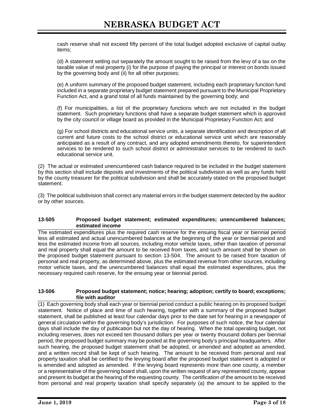cash reserve shall not exceed fifty percent of the total budget adopted exclusive of capital outlay items;

(d) A statement setting out separately the amount sought to be raised from the levy of a tax on the taxable value of real property (i) for the purpose of paying the principal or interest on bonds issued by the governing body and (ii) for all other purposes;

(e) A uniform summary of the proposed budget statement, including each proprietary function fund included in a separate proprietary budget statement prepared pursuant to the Municipal Proprietary Function Act, and a grand total of all funds maintained by the governing body; and

(f) For municipalities, a list of the proprietary functions which are not included in the budget statement. Such proprietary functions shall have a separate budget statement which is approved by the city council or village board as provided in the Municipal Proprietary Function Act; and

(g) For school districts and educational service units, a separate identification and description of all current and future costs to the school district or educational service unit which are reasonably anticipated as a result of any contract, and any adopted amendments thereto, for superintendent services to be rendered to such school district or administrator services to be rendered to such educational service unit.

(2) The actual or estimated unencumbered cash balance required to be included in the budget statement by this section shall include deposits and investments of the political subdivision as well as any funds held by the county treasurer for the political subdivision and shall be accurately stated on the proposed budget statement.

(3) The political subdivision shall correct any material errors in the budget statement detected by the auditor or by other sources.

#### **13-505 Proposed budget statement; estimated expenditures; unencumbered balances; estimated income**

The estimated expenditures plus the required cash reserve for the ensuing fiscal year or biennial period less all estimated and actual unencumbered balances at the beginning of the year or biennial period and less the estimated income from all sources, including motor vehicle taxes, other than taxation of personal and real property shall equal the amount to be received from taxes, and such amount shall be shown on the proposed budget statement pursuant to section 13-504. The amount to be raised from taxation of personal and real property, as determined above, plus the estimated revenue from other sources, including motor vehicle taxes, and the unencumbered balances shall equal the estimated expenditures, plus the necessary required cash reserve, for the ensuing year or biennial period.

#### **13-506 Proposed budget statement; notice; hearing; adoption; certify to board; exceptions; file with auditor**

(1) Each governing body shall each year or biennial period conduct a public hearing on its proposed budget statement. Notice of place and time of such hearing, together with a summary of the proposed budget statement, shall be published at least four calendar days prior to the date set for hearing in a newspaper of general circulation within the governing body's jurisdiction. For purposes of such notice, the four calendar days shall include the day of publication but not the day of hearing. When the total operating budget, not including reserves, does not exceed ten thousand dollars per year or twenty thousand dollars per biennial period, the proposed budget summary may be posted at the governing body's principal headquarters. After such hearing, the proposed budget statement shall be adopted, or amended and adopted as amended, and a written record shall be kept of such hearing. The amount to be received from personal and real property taxation shall be certified to the levying board after the proposed budget statement is adopted or is amended and adopted as amended. If the levying board represents more than one county, a member or a representative of the governing board shall, upon the written request of any represented county, appear and present its budget at the hearing of the requesting county. The certification of the amount to be received from personal and real property taxation shall specify separately (a) the amount to be applied to the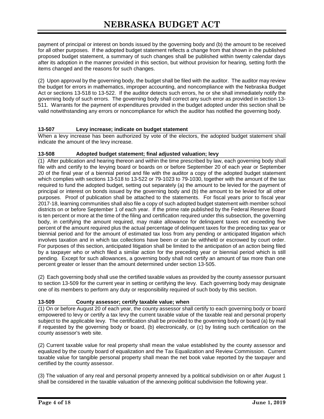payment of principal or interest on bonds issued by the governing body and (b) the amount to be received for all other purposes. If the adopted budget statement reflects a change from that shown in the published proposed budget statement, a summary of such changes shall be published within twenty calendar days after its adoption in the manner provided in this section, but without provision for hearing, setting forth the items changed and the reasons for such changes.

(2) Upon approval by the governing body, the budget shall be filed with the auditor. The auditor may review the budget for errors in mathematics, improper accounting, and noncompliance with the Nebraska Budget Act or sections 13-518 to 13-522. If the auditor detects such errors, he or she shall immediately notify the governing body of such errors. The governing body shall correct any such error as provided in section 13- 511. Warrants for the payment of expenditures provided in the budget adopted under this section shall be valid notwithstanding any errors or noncompliance for which the auditor has notified the governing body.

# **13-507 Levy increase; indicate on budget statement**

When a levy increase has been authorized by vote of the electors, the adopted budget statement shall indicate the amount of the levy increase.

# **13-508 Adopted budget statement; final adjusted valuation; levy**

(1) After publication and hearing thereon and within the time prescribed by law, each governing body shall file with and certify to the levying board or boards on or before September 20 of each year or September 20 of the final year of a biennial period and file with the auditor a copy of the adopted budget statement which complies with sections 13-518 to 13-522 or 79-1023 to 79-1030, together with the amount of the tax required to fund the adopted budget, setting out separately (a) the amount to be levied for the payment of principal or interest on bonds issued by the governing body and (b) the amount to be levied for all other purposes. Proof of publication shall be attached to the statements. For fiscal years prior to fiscal year 2017-18, learning communities shall also file a copy of such adopted budget statement with member school districts on or before September 1 of each year. If the prime rate published by the Federal Reserve Board is ten percent or more at the time of the filing and certification required under this subsection, the governing body, in certifying the amount required, may make allowance for delinquent taxes not exceeding five percent of the amount required plus the actual percentage of delinquent taxes for the preceding tax year or biennial period and for the amount of estimated tax loss from any pending or anticipated litigation which involves taxation and in which tax collections have been or can be withheld or escrowed by court order. For purposes of this section, anticipated litigation shall be limited to the anticipation of an action being filed by a taxpayer who or which filed a similar action for the preceding year or biennial period which is still pending. Except for such allowances, a governing body shall not certify an amount of tax more than one percent greater or lesser than the amount determined under section 13-505.

(2) Each governing body shall use the certified taxable values as provided by the county assessor pursuant to section 13-509 for the current year in setting or certifying the levy. Each governing body may designate one of its members to perform any duty or responsibility required of such body by this section.

# **13-509 County assessor; certify taxable value; when**

(1) On or before August 20 of each year, the county assessor shall certify to each governing body or board empowered to levy or certify a tax levy the current taxable value of the taxable real and personal property subject to the applicable levy. The certification shall be provided to the governing body or board (a) by mail if requested by the governing body or board, (b) electronically, or (c) by listing such certification on the county assessor's web site.

(2) Current taxable value for real property shall mean the value established by the county assessor and equalized by the county board of equalization and the Tax Equalization and Review Commission. Current taxable value for tangible personal property shall mean the net book value reported by the taxpayer and certified by the county assessor.

(3) The valuation of any real and personal property annexed by a political subdivision on or after August 1 shall be considered in the taxable valuation of the annexing political subdivision the following year.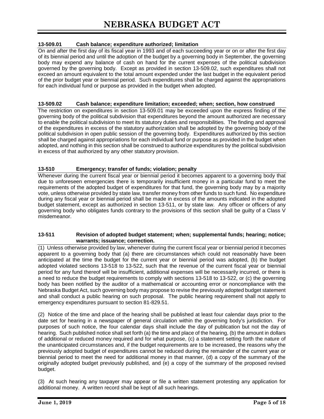# **13-509.01 Cash balance; expenditure authorized; limitation**

On and after the first day of its fiscal year in 1993 and of each succeeding year or on or after the first day of its biennial period and until the adoption of the budget by a governing body in September, the governing body may expend any balance of cash on hand for the current expenses of the political subdivision governed by the governing body. Except as provided in section 13-509.02, such expenditures shall not exceed an amount equivalent to the total amount expended under the last budget in the equivalent period of the prior budget year or biennial period. Such expenditures shall be charged against the appropriations for each individual fund or purpose as provided in the budget when adopted.

#### **13-509.02 Cash balance; expenditure limitation; exceeded; when; section, how construed**

The restriction on expenditures in section 13-509.01 may be exceeded upon the express finding of the governing body of the political subdivision that expenditures beyond the amount authorized are necessary to enable the political subdivision to meet its statutory duties and responsibilities. The finding and approval of the expenditures in excess of the statutory authorization shall be adopted by the governing body of the political subdivision in open public session of the governing body. Expenditures authorized by this section shall be charged against appropriations for each individual fund or purpose as provided in the budget when adopted, and nothing in this section shall be construed to authorize expenditures by the political subdivision in excess of that authorized by any other statutory provision.

# **13-510 Emergency; transfer of funds; violation; penalty**

Whenever during the current fiscal year or biennial period it becomes apparent to a governing body that due to unforeseen emergencies there is temporarily insufficient money in a particular fund to meet the requirements of the adopted budget of expenditures for that fund, the governing body may by a majority vote, unless otherwise provided by state law, transfer money from other funds to such fund. No expenditure during any fiscal year or biennial period shall be made in excess of the amounts indicated in the adopted budget statement, except as authorized in section 13-511, or by state law. Any officer or officers of any governing body who obligates funds contrary to the provisions of this section shall be guilty of a Class V misdemeanor.

#### **13-511 Revision of adopted budget statement; when; supplemental funds; hearing; notice; warrants; issuance; correction.**

(1) Unless otherwise provided by law, whenever during the current fiscal year or biennial period it becomes apparent to a governing body that (a) there are circumstances which could not reasonably have been anticipated at the time the budget for the current year or biennial period was adopted, (b) the budget adopted violated sections 13-518 to 13-522, such that the revenue of the current fiscal year or biennial period for any fund thereof will be insufficient, additional expenses will be necessarily incurred, or there is a need to reduce the budget requirements to comply with sections 13-518 to 13-522, or (c) the governing body has been notified by the auditor of a mathematical or accounting error or noncompliance with the Nebraska Budget Act, such governing body may propose to revise the previously adopted budget statement and shall conduct a public hearing on such proposal. The public hearing requirement shall not apply to emergency expenditures pursuant to section 81-829.51.

(2) Notice of the time and place of the hearing shall be published at least four calendar days prior to the date set for hearing in a newspaper of general circulation within the governing body's jurisdiction. For purposes of such notice, the four calendar days shall include the day of publication but not the day of hearing. Such published notice shall set forth (a) the time and place of the hearing, (b) the amount in dollars of additional or reduced money required and for what purpose, (c) a statement setting forth the nature of the unanticipated circumstances and, if the budget requirements are to be increased, the reasons why the previously adopted budget of expenditures cannot be reduced during the remainder of the current year or biennial period to meet the need for additional money in that manner, (d) a copy of the summary of the originally adopted budget previously published, and (e) a copy of the summary of the proposed revised budget.

(3) At such hearing any taxpayer may appear or file a written statement protesting any application for additional money. A written record shall be kept of all such hearings.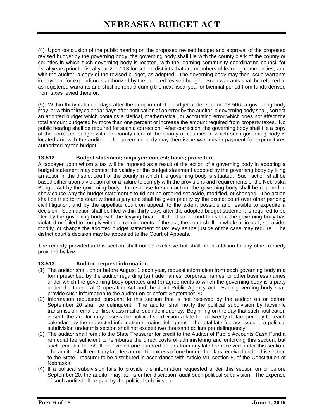(4) Upon conclusion of the public hearing on the proposed revised budget and approval of the proposed revised budget by the governing body, the governing body shall file with the county clerk of the county or counties in which such governing body is located, with the learning community coordinating council for fiscal years prior to fiscal year 2017-18 for school districts that are members of learning communities, and with the auditor, a copy of the revised budget, as adopted. The governing body may then issue warrants in payment for expenditures authorized by the adopted revised budget. Such warrants shall be referred to as registered warrants and shall be repaid during the next fiscal year or biennial period from funds derived from taxes levied therefor.

(5) Within thirty calendar days after the adoption of the budget under section 13-506, a governing body may, or within thirty calendar days after notification of an error by the auditor, a governing body shall, correct an adopted budget which contains a clerical, mathematical, or accounting error which does not affect the total amount budgeted by more than one percent or increase the amount required from property taxes. No public hearing shall be required for such a correction. After correction, the governing body shall file a copy of the corrected budget with the county clerk of the county or counties in which such governing body is located and with the auditor. The governing body may then issue warrants in payment for expenditures authorized by the budget.

#### **13-512 Budget statement; taxpayer; contest; basis; procedure**

A taxpayer upon whom a tax will be imposed as a result of the action of a governing body in adopting a budget statement may contest the validity of the budget statement adopted by the governing body by filing an action in the district court of the county in which the governing body is situated. Such action shall be based either upon a violation of or a failure to comply with the provisions and requirements of the Nebraska Budget Act by the governing body. In response to such action, the governing body shall be required to show cause why the budget statement should not be ordered set aside, modified, or changed. The action shall be tried to the court without a jury and shall be given priority by the district court over other pending civil litigation, and by the appellate court on appeal, to the extent possible and feasible to expedite a decision. Such action shall be filed within thirty days after the adopted budget statement is required to be filed by the governing body with the levying board. If the district court finds that the governing body has violated or failed to comply with the requirements of the act, the court shall, in whole or in part, set aside, modify, or change the adopted budget statement or tax levy as the justice of the case may require. The district court's decision may be appealed to the Court of Appeals.

The remedy provided in this section shall not be exclusive but shall be in addition to any other remedy provided by law.

#### **13-513 Auditor; request information**

- (1) The auditor shall, on or before August 1 each year, request information from each governing body in a form prescribed by the auditor regarding (a) trade names, corporate names, or other business names under which the governing body operates and (b) agreements to which the governing body is a party under the Interlocal Cooperation Act and the Joint Public Agency Act. Each governing body shall provide such information to the auditor on or before September 20.
- (2) Information requested pursuant to this section that is not received by the auditor on or before September 20 shall be delinquent. The auditor shall notify the political subdivision by facsimile transmission, email, or first-class mail of such delinquency. Beginning on the day that such notification is sent, the auditor may assess the political subdivision a late fee of twenty dollars per day for each calendar day the requested information remains delinquent. The total late fee assessed to a political subdivision under this section shall not exceed two thousand dollars per delinquency.
- (3) The auditor shall remit to the State Treasurer for credit to the Auditor of Public Accounts Cash Fund a remedial fee sufficient to reimburse the direct costs of administering and enforcing this section, but such remedial fee shall not exceed one hundred dollars from any late fee received under this section. The auditor shall remit any late fee amount in excess of one hundred dollars received under this section to the State Treasurer to be distributed in accordance with Article VII, section 5, of the Constitution of Nebraska.
- (4) If a political subdivision fails to provide the information requested under this section on or before September 20, the auditor may, at his or her discretion, audit such political subdivision. The expense of such audit shall be paid by the political subdivision.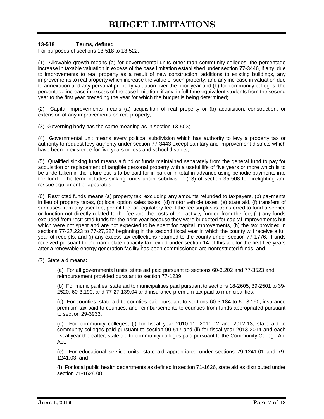# **13-518 Terms, defined**

For purposes of sections 13-518 to 13-522:

(1) Allowable growth means (a) for governmental units other than community colleges, the percentage increase in taxable valuation in excess of the base limitation established under section 77-3446, if any, due to improvements to real property as a result of new construction, additions to existing buildings, any improvements to real property which increase the value of such property, and any increase in valuation due to annexation and any personal property valuation over the prior year and (b) for community colleges, the percentage increase in excess of the base limitation, if any, in full-time equivalent students from the second year to the first year preceding the year for which the budget is being determined;

(2) Capital improvements means (a) acquisition of real property or (b) acquisition, construction, or extension of any improvements on real property;

(3) Governing body has the same meaning as in section 13-503;

(4) Governmental unit means every political subdivision which has authority to levy a property tax or authority to request levy authority under section 77-3443 except sanitary and improvement districts which have been in existence for five years or less and school districts;

(5) Qualified sinking fund means a fund or funds maintained separately from the general fund to pay for acquisition or replacement of tangible personal property with a useful life of five years or more which is to be undertaken in the future but is to be paid for in part or in total in advance using periodic payments into the fund. The term includes sinking funds under subdivision (13) of section 35-508 for firefighting and rescue equipment or apparatus;

(6) Restricted funds means (a) property tax, excluding any amounts refunded to taxpayers, (b) payments in lieu of property taxes, (c) local option sales taxes, (d) motor vehicle taxes, (e) state aid, (f) transfers of surpluses from any user fee, permit fee, or regulatory fee if the fee surplus is transferred to fund a service or function not directly related to the fee and the costs of the activity funded from the fee, (g) any funds excluded from restricted funds for the prior year because they were budgeted for capital improvements but which were not spent and are not expected to be spent for capital improvements, (h) the tax provided in sections 77-27,223 to 77-27,227 beginning in the second fiscal year in which the county will receive a full year of receipts, and (i) any excess tax collections returned to the county under section 77-1776. Funds received pursuant to the nameplate capacity tax levied under section 14 of this act for the first five years after a renewable energy generation facility has been commissioned are nonrestricted funds; and

(7) State aid means:

(a) For all governmental units, state aid paid pursuant to sections 60-3,202 and 77-3523 and reimbursement provided pursuant to section 77-1239;

(b) For municipalities, state aid to municipalities paid pursuant to sections 18-2605, 39-2501 to 39- 2520, 60-3,190, and 77-27,139.04 and insurance premium tax paid to municipalities;

(c) For counties, state aid to counties paid pursuant to sections 60-3,184 to 60-3,190, insurance premium tax paid to counties, and reimbursements to counties from funds appropriated pursuant to section 29-3933;

(d) For community colleges, (i) for fiscal year 2010-11, 2011-12 and 2012-13, state aid to community colleges paid pursuant to section 90-517 and (ii) for fiscal year 2013-2014 and each fiscal year thereafter, state aid to community colleges paid pursuant to the Community College Aid Act;

(e) For educational service units, state aid appropriated under sections 79-1241.01 and 79- 1241.03; and

(f) For local public health departments as defined in section 71-1626, state aid as distributed under section 71-1628.08.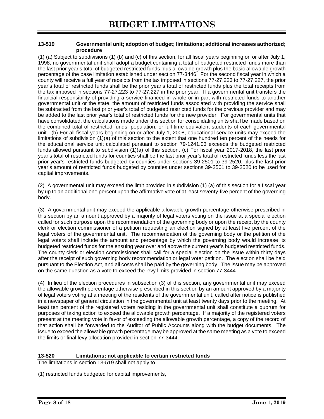#### **13-519 Governmental unit; adoption of budget; limitations; additional increases authorized; procedure**

(1) (a) Subject to subdivisions (1) (b) and (c) of this section, for all fiscal years beginning on or after July 1, 1998, no governmental unit shall adopt a budget containing a total of budgeted restricted funds more than the last prior year's total of budgeted restricted funds plus allowable growth plus the basic allowable growth percentage of the base limitation established under section 77-3446. For the second fiscal year in which a county will receive a full year of receipts from the tax imposed in sections 77-27,223 to 77-27,227, the prior year's total of restricted funds shall be the prior year's total of restricted funds plus the total receipts from the tax imposed in sections 77-27,223 to 77-27,227 in the prior year. If a governmental unit transfers the financial responsibility of providing a service financed in whole or in part with restricted funds to another governmental unit or the state, the amount of restricted funds associated with providing the service shall be subtracted from the last prior year's total of budgeted restricted funds for the previous provider and may be added to the last prior year's total of restricted funds for the new provider. For governmental units that have consolidated, the calculations made under this section for consolidating units shall be made based on the combined total of restricted funds, population, or full-time equivalent students of each governmental unit. (b) For all fiscal years beginning on or after July 1, 2008, educational service units may exceed the limitations of subdivision (1)(a) of this section to the extent that one hundred ten percent of the needs for the educational service unit calculated pursuant to section 79-1241.03 exceeds the budgeted restricted funds allowed pursuant to subdivision (1)(a) of this section. (c) For fiscal year 2017-2018, the last prior year's total of restricted funds for counties shall be the last prior year's total of restricted funds less the last prior year's restricted funds budgeted by counties under sections 39-2501 to 39-2520, plus the last prior year's amount of restricted funds budgeted by counties under sections 39-2501 to 39-2520 to be used for capital improvements.

(2) A governmental unit may exceed the limit provided in subdivision (1) (a) of this section for a fiscal year by up to an additional one percent upon the affirmative vote of at least seventy-five percent of the governing body.

(3) A governmental unit may exceed the applicable allowable growth percentage otherwise prescribed in this section by an amount approved by a majority of legal voters voting on the issue at a special election called for such purpose upon the recommendation of the governing body or upon the receipt by the county clerk or election commissioner of a petition requesting an election signed by at least five percent of the legal voters of the governmental unit. The recommendation of the governing body or the petition of the legal voters shall include the amount and percentage by which the governing body would increase its budgeted restricted funds for the ensuing year over and above the current year's budgeted restricted funds. The county clerk or election commissioner shall call for a special election on the issue within thirty days after the receipt of such governing body recommendation or legal voter petition. The election shall be held pursuant to the Election Act, and all costs shall be paid by the governing body. The issue may be approved on the same question as a vote to exceed the levy limits provided in section 77-3444.

(4) In lieu of the election procedures in subsection (3) of this section, any governmental unit may exceed the allowable growth percentage otherwise prescribed in this section by an amount approved by a majority of legal voters voting at a meeting of the residents of the governmental unit, called after notice is published in a newspaper of general circulation in the governmental unit at least twenty days prior to the meeting. At least ten percent of the registered voters residing in the governmental unit shall constitute a quorum for purposes of taking action to exceed the allowable growth percentage. If a majority of the registered voters present at the meeting vote in favor of exceeding the allowable growth percentage, a copy of the record of that action shall be forwarded to the Auditor of Public Accounts along with the budget documents. The issue to exceed the allowable growth percentage may be approved at the same meeting as a vote to exceed the limits or final levy allocation provided in section 77-3444.

# **13-520 Limitations; not applicable to certain restricted funds**

The limitations in section 13-519 shall not apply to

(1) restricted funds budgeted for capital improvements,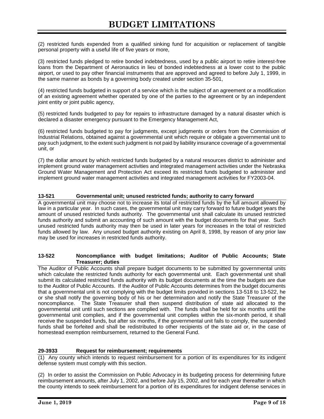(2) restricted funds expended from a qualified sinking fund for acquisition or replacement of tangible personal property with a useful life of five years or more,

(3) restricted funds pledged to retire bonded indebtedness, used by a public airport to retire interest-free loans from the Department of Aeronautics in lieu of bonded indebtedness at a lower cost to the public airport, or used to pay other financial instruments that are approved and agreed to before July 1, 1999, in the same manner as bonds by a governing body created under section 35-501,

(4) restricted funds budgeted in support of a service which is the subject of an agreement or a modification of an existing agreement whether operated by one of the parties to the agreement or by an independent joint entity or joint public agency,

(5) restricted funds budgeted to pay for repairs to infrastructure damaged by a natural disaster which is declared a disaster emergency pursuant to the Emergency Management Act,

(6) restricted funds budgeted to pay for judgments, except judgments or orders from the Commission of Industrial Relations, obtained against a governmental unit which require or obligate a governmental unit to pay such judgment, to the extent such judgment is not paid by liability insurance coverage of a governmental unit, or

(7) the dollar amount by which restricted funds budgeted by a natural resources district to administer and implement ground water management activities and integrated management activities under the Nebraska Ground Water Management and Protection Act exceed its restricted funds budgeted to administer and implement ground water management activities and integrated management activities for FY2003-04.

#### **13-521 Governmental unit; unused restricted funds; authority to carry forward**

A governmental unit may choose not to increase its total of restricted funds by the full amount allowed by law in a particular year. In such cases, the governmental unit may carry forward to future budget years the amount of unused restricted funds authority. The governmental unit shall calculate its unused restricted funds authority and submit an accounting of such amount with the budget documents for that year. Such unused restricted funds authority may then be used in later years for increases in the total of restricted funds allowed by law. Any unused budget authority existing on April 8, 1998, by reason of any prior law may be used for increases in restricted funds authority.

#### **13-522 Noncompliance with budget limitations; Auditor of Public Accounts; State Treasurer; duties**

The Auditor of Public Accounts shall prepare budget documents to be submitted by governmental units which calculate the restricted funds authority for each governmental unit. Each governmental unit shall submit its calculated restricted funds authority with its budget documents at the time the budgets are due to the Auditor of Public Accounts. If the Auditor of Public Accounts determines from the budget documents that a governmental unit is not complying with the budget limits provided in sections 13-518 to 13-522, he or she shall notify the governing body of his or her determination and notify the State Treasurer of the noncompliance. The State Treasurer shall then suspend distribution of state aid allocated to the governmental unit until such sections are complied with. The funds shall be held for six months until the governmental unit complies, and if the governmental unit complies within the six-month period, it shall receive the suspended funds, but after six months, if the governmental unit fails to comply, the suspended funds shall be forfeited and shall be redistributed to other recipients of the state aid or, in the case of homestead exemption reimbursement, returned to the General Fund.

#### **29-3933 Request for reimbursement; requirements**

(1) Any county which intends to request reimbursement for a portion of its expenditures for its indigent defense system must comply with this section.

(2) In order to assist the Commission on Public Advocacy in its budgeting process for determining future reimbursement amounts, after July 1, 2002, and before July 15, 2002, and for each year thereafter in which the county intends to seek reimbursement for a portion of its expenditures for indigent defense services in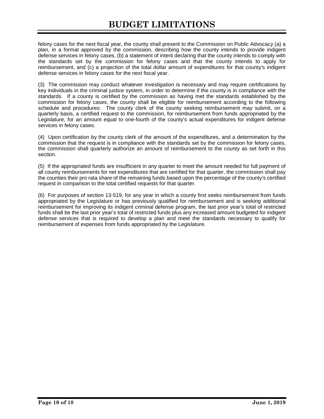felony cases for the next fiscal year, the county shall present to the Commission on Public Advocacy (a) a plan, in a format approved by the commission, describing how the county intends to provide indigent defense services in felony cases, (b) a statement of intent declaring that the county intends to comply with the standards set by the commission for felony cases and that the county intends to apply for reimbursement, and (c) a projection of the total dollar amount of expenditures for that county's indigent defense services in felony cases for the next fiscal year.

(3) The commission may conduct whatever investigation is necessary and may require certifications by key individuals in the criminal justice system, in order to determine if the county is in compliance with the standards. If a county is certified by the commission as having met the standards established by the commission for felony cases, the county shall be eligible for reimbursement according to the following schedule and procedures: The county clerk of the county seeking reimbursement may submit, on a quarterly basis, a certified request to the commission, for reimbursement from funds appropriated by the Legislature, for an amount equal to one-fourth of the county's actual expenditures for indigent defense services in felony cases.

(4) Upon certification by the county clerk of the amount of the expenditures, and a determination by the commission that the request is in compliance with the standards set by the commission for felony cases, the commission shall quarterly authorize an amount of reimbursement to the county as set forth in this section.

(5) If the appropriated funds are insufficient in any quarter to meet the amount needed for full payment of all county reimbursements for net expenditures that are certified for that quarter, the commission shall pay the counties their pro rata share of the remaining funds based upon the percentage of the county's certified request in comparison to the total certified requests for that quarter.

(6) For purposes of section 13-519, for any year in which a county first seeks reimbursement from funds appropriated by the Legislature or has previously qualified for reimbursement and is seeking additional reimbursement for improving its indigent criminal defense program, the last prior year's total of restricted funds shall be the last prior year's total of restricted funds plus any increased amount budgeted for indigent defense services that is required to develop a plan and meet the standards necessary to qualify for reimbursement of expenses from funds appropriated by the Legislature.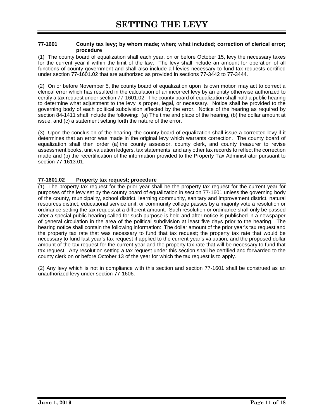#### **77-1601 County tax levy; by whom made; when; what included; correction of clerical error; procedure**

(1) The county board of equalization shall each year, on or before October 15, levy the necessary taxes for the current year if within the limit of the law. The levy shall include an amount for operation of all functions of county government and shall also include all levies necessary to fund tax requests certified under section 77-1601.02 that are authorized as provided in sections 77-3442 to 77-3444.

(2) On or before November 5, the county board of equalization upon its own motion may act to correct a clerical error which has resulted in the calculation of an incorrect levy by an entity otherwise authorized to certify a tax request under section 77-1601.02. The county board of equalization shall hold a public hearing to determine what adjustment to the levy is proper, legal, or necessary. Notice shall be provided to the governing body of each political subdivision affected by the error. Notice of the hearing as required by section 84-1411 shall include the following: (a) The time and place of the hearing, (b) the dollar amount at issue, and (c) a statement setting forth the nature of the error.

(3) Upon the conclusion of the hearing, the county board of equalization shall issue a corrected levy if it determines that an error was made in the original levy which warrants correction. The county board of equalization shall then order (a) the county assessor, county clerk, and county treasurer to revise assessment books, unit valuation ledgers, tax statements, and any other tax records to reflect the correction made and (b) the recertification of the information provided to the Property Tax Administrator pursuant to section 77-1613.01.

# **77-1601.02 Property tax request; procedure**

(1) The property tax request for the prior year shall be the property tax request for the current year for purposes of the levy set by the county board of equalization in section 77-1601 unless the governing body of the county, municipality, school district, learning community, sanitary and improvement district, natural resources district, educational service unit, or community college passes by a majority vote a resolution or ordinance setting the tax request at a different amount. Such resolution or ordinance shall only be passed after a special public hearing called for such purpose is held and after notice is published in a newspaper of general circulation in the area of the political subdivision at least five days prior to the hearing. The hearing notice shall contain the following information: The dollar amount of the prior year's tax request and the property tax rate that was necessary to fund that tax request; the property tax rate that would be necessary to fund last year's tax request if applied to the current year's valuation; and the proposed dollar amount of the tax request for the current year and the property tax rate that will be necessary to fund that tax request. Any resolution setting a tax request under this section shall be certified and forwarded to the county clerk on or before October 13 of the year for which the tax request is to apply.

(2) Any levy which is not in compliance with this section and section 77-1601 shall be construed as an unauthorized levy under section 77-1606.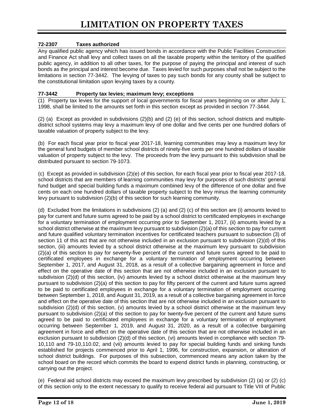# **72-2307 Taxes authorized**

Any qualified public agency which has issued bonds in accordance with the Public Facilities Construction and Finance Act shall levy and collect taxes on all the taxable property within the territory of the qualified public agency, in addition to all other taxes, for the purpose of paying the principal and interest of such bonds as the principal and interest become due. Taxes levied for such purposes shall not be subject to the limitations in section 77-3442. The levying of taxes to pay such bonds for any county shall be subject to the constitutional limitation upon levying taxes by a county.

#### **77-3442 Property tax levies; maximum levy; exceptions**

(1) Property tax levies for the support of local governments for fiscal years beginning on or after July 1, 1998, shall be limited to the amounts set forth in this section except as provided in section 77-3444.

(2) (a) Except as provided in subdivisions  $(2)(b)$  and  $(2)$  (e) of this section, school districts and multipledistrict school systems may levy a maximum levy of one dollar and five cents per one hundred dollars of taxable valuation of property subject to the levy.

(b) For each fiscal year prior to fiscal year 2017-18, learning communities may levy a maximum levy for the general fund budgets of member school districts of ninety-five cents per one hundred dollars of taxable valuation of property subject to the levy. The proceeds from the levy pursuant to this subdivision shall be distributed pursuant to section 79-1073.

(c) Except as provided in subdivision (2)(e) of this section, for each fiscal year prior to fiscal year 2017-18, school districts that are members of learning communities may levy for purposes of such districts' general fund budget and special building funds a maximum combined levy of the difference of one dollar and five cents on each one hundred dollars of taxable property subject to the levy minus the learning community levy pursuant to subdivision (2)(b) of this section for such learning community.

(d) Excluded from the limitations in subdivisions (2) (a) and (2) (c) of this section are (i) amounts levied to pay for current and future sums agreed to be paid by a school district to certificated employees in exchange for a voluntary termination of employment occurring prior to September 1, 2017, (ii) amounts levied by a school district otherwise at the maximum levy pursuant to subdivision (2)(a) of this section to pay for current and future qualified voluntary termination incentives for certificated teachers pursuant to subsection (3) of section 11 of this act that are not otherwise included in an exclusion pursuant to subdivision (2)(d) of this section, (iii) amounts levied by a school district otherwise at the maximum levy pursuant to subdivision (2)(a) of this section to pay for seventy-five percent of the current and future sums agreed to be paid to certificated employees in exchange for a voluntary termination of employment occurring between September 1, 2017, and August 31, 2018, as a result of a collective bargaining agreement in force and effect on the operative date of this section that are not otherwise included in an exclusion pursuant to subdivision (2)(d) of this section, (iv) amounts levied by a school district otherwise at the maximum levy pursuant to subdivision (2)(a) of this section to pay for fifty percent of the current and future sums agreed to be paid to certificated employees in exchange for a voluntary termination of employment occurring between September 1, 2018, and August 31, 2019, as a result of a collective bargaining agreement in force and effect on the operative date of this section that are not otherwise included in an exclusion pursuant to subdivision (2)(d) of this section, (v) amounts levied by a school district otherwise at the maximum levy pursuant to subdivision (2)(a) of this section to pay for twenty-five percent of the current and future sums agreed to be paid to certificated employees in exchange for a voluntary termination of employment occurring between September 1, 2019, and August 31, 2020, as a result of a collective bargaining agreement in force and effect on the operative date of this section that are not otherwise included in an exclusion pursuant to subdivision (2)(d) of this section, (vi) amounts levied in compliance with section 79- 10,110 and 79-10,110.02, and (vii) amounts levied to pay for special building funds and sinking funds established for projects commenced prior to April 1, 1996, for construction, expansion, or alteration of school district buildings. For purposes of this subsection, commenced means any action taken by the school board on the record which commits the board to expend district funds in planning, constructing, or carrying out the project.

(e) Federal aid school districts may exceed the maximum levy prescribed by subdivision (2) (a) or (2) (c) of this section only to the extent necessary to qualify to receive federal aid pursuant to Title VIII of Public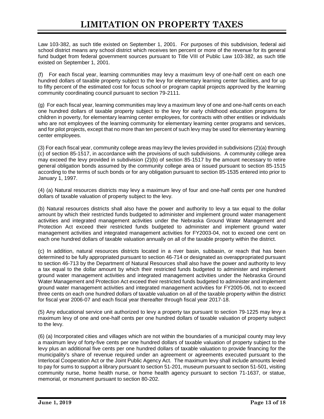Law 103-382, as such title existed on September 1, 2001. For purposes of this subdivision, federal aid school district means any school district which receives ten percent or more of the revenue for its general fund budget from federal government sources pursuant to Title VIII of Public Law 103-382, as such title existed on September 1, 2001.

(f) For each fiscal year, learning communities may levy a maximum levy of one-half cent on each one hundred dollars of taxable property subject to the levy for elementary learning center facilities, and for up to fifty percent of the estimated cost for focus school or program capital projects approved by the learning community coordinating council pursuant to section 79-2111.

(g) For each fiscal year, learning communities may levy a maximum levy of one and one-half cents on each one hundred dollars of taxable property subject to the levy for early childhood education programs for children in poverty, for elementary learning center employees, for contracts with other entities or individuals who are not employees of the learning community for elementary learning center programs and services, and for pilot projects, except that no more than ten percent of such levy may be used for elementary learning center employees.

(3) For each fiscal year, community college areas may levy the levies provided in subdivisions (2)(a) through (c) of section 85-1517, in accordance with the provisions of such subdivisions. A community college area may exceed the levy provided in subdivision (2)(b) of section 85-1517 by the amount necessary to retire general obligation bonds assumed by the community college area or issued pursuant to section 85-1515 according to the terms of such bonds or for any obligation pursuant to section 85-1535 entered into prior to January 1, 1997.

(4) (a) Natural resources districts may levy a maximum levy of four and one-half cents per one hundred dollars of taxable valuation of property subject to the levy.

(b) Natural resources districts shall also have the power and authority to levy a tax equal to the dollar amount by which their restricted funds budgeted to administer and implement ground water management activities and integrated management activities under the Nebraska Ground Water Management and Protection Act exceed their restricted funds budgeted to administer and implement ground water management activities and integrated management activities for FY2003-04, not to exceed one cent on each one hundred dollars of taxable valuation annually on all of the taxable property within the district.

(c) In addition, natural resources districts located in a river basin, subbasin, or reach that has been determined to be fully appropriated pursuant to section 46-714 or designated as overappropriated pursuant to section 46-713 by the Department of Natural Resources shall also have the power and authority to levy a tax equal to the dollar amount by which their restricted funds budgeted to administer and implement ground water management activities and integrated management activities under the Nebraska Ground Water Management and Protection Act exceed their restricted funds budgeted to administer and implement ground water management activities and integrated management activities for FY2005-06, not to exceed three cents on each one hundred dollars of taxable valuation on all of the taxable property within the district for fiscal year 2006-07 and each fiscal year thereafter through fiscal year 2017-18.

(5) Any educational service unit authorized to levy a property tax pursuant to section 79-1225 may levy a maximum levy of one and one-half cents per one hundred dollars of taxable valuation of property subject to the levy.

(6) (a) Incorporated cities and villages which are not within the boundaries of a municipal county may levy a maximum levy of forty-five cents per one hundred dollars of taxable valuation of property subject to the levy plus an additional five cents per one hundred dollars of taxable valuation to provide financing for the municipality's share of revenue required under an agreement or agreements executed pursuant to the Interlocal Cooperation Act or the Joint Public Agency Act. The maximum levy shall include amounts levied to pay for sums to support a library pursuant to section 51-201, museum pursuant to section 51-501, visiting community nurse, home health nurse, or home health agency pursuant to section 71-1637, or statue, memorial, or monument pursuant to section 80-202.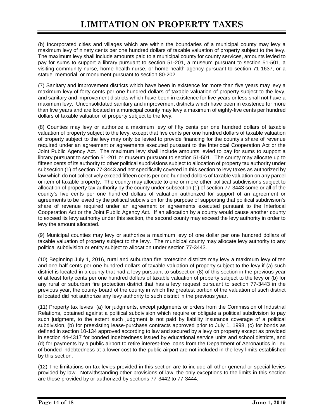(b) Incorporated cities and villages which are within the boundaries of a municipal county may levy a maximum levy of ninety cents per one hundred dollars of taxable valuation of property subject to the levy. The maximum levy shall include amounts paid to a municipal county for county services, amounts levied to pay for sums to support a library pursuant to section 51-201, a museum pursuant to section 51-501, a visiting community nurse, home health nurse, or home health agency pursuant to section 71-1637, or a statue, memorial, or monument pursuant to section 80-202.

(7) Sanitary and improvement districts which have been in existence for more than five years may levy a maximum levy of forty cents per one hundred dollars of taxable valuation of property subject to the levy, and sanitary and improvement districts which have been in existence for five years or less shall not have a maximum levy. Unconsolidated sanitary and improvement districts which have been in existence for more than five years and are located in a municipal county may levy a maximum of eighty-five cents per hundred dollars of taxable valuation of property subject to the levy.

(8) Counties may levy or authorize a maximum levy of fifty cents per one hundred dollars of taxable valuation of property subject to the levy, except that five cents per one hundred dollars of taxable valuation of property subject to the levy may only be levied to provide financing for the county's share of revenue required under an agreement or agreements executed pursuant to the Interlocal Cooperation Act or the Joint Public Agency Act. The maximum levy shall include amounts levied to pay for sums to support a library pursuant to section 51-201 or museum pursuant to section 51-501. The county may allocate up to fifteen cents of its authority to other political subdivisions subject to allocation of property tax authority under subsection (1) of section 77-3443 and not specifically covered in this section to levy taxes as authorized by law which do not collectively exceed fifteen cents per one hundred dollars of taxable valuation on any parcel or item of taxable property. The county may allocate to one or more other political subdivisions subject to allocation of property tax authority by the county under subsection (1) of section 77-3443 some or all of the county's five cents per one hundred dollars of valuation authorized for support of an agreement or agreements to be levied by the political subdivision for the purpose of supporting that political subdivision's share of revenue required under an agreement or agreements executed pursuant to the Interlocal Cooperation Act or the Joint Public Agency Act. If an allocation by a county would cause another county to exceed its levy authority under this section, the second county may exceed the levy authority in order to levy the amount allocated.

(9) Municipal counties may levy or authorize a maximum levy of one dollar per one hundred dollars of taxable valuation of property subject to the levy. The municipal county may allocate levy authority to any political subdivision or entity subject to allocation under section 77-3443.

(10) Beginning July 1, 2016, rural and suburban fire protection districts may levy a maximum levy of ten and one-half cents per one hundred dollars of taxable valuation of property subject to the levy if (a) such district is located in a county that had a levy pursuant to subsection (8) of this section in the previous year of at least forty cents per one hundred dollars of taxable valuation of property subject to the levy or (b) for any rural or suburban fire protection district that has a levy request pursuant to section 77-3443 in the previous year, the county board of the county in which the greatest portion of the valuation of such district is located did not authorize any levy authority to such district in the previous year.

(11) Property tax levies (a) for judgments, except judgments or orders from the Commission of Industrial Relations, obtained against a political subdivision which require or obligate a political subdivision to pay such judgment, to the extent such judgment is not paid by liability insurance coverage of a political subdivision, (b) for preexisting lease-purchase contracts approved prior to July 1, 1998, (c) for bonds as defined in section 10-134 approved according to law and secured by a levy on property except as provided in section 44-4317 for bonded indebtedness issued by educational service units and school districts, and (d) for payments by a public airport to retire interest-free loans from the Department of Aeronautics in lieu of bonded indebtedness at a lower cost to the public airport are not included in the levy limits established by this section.

(12) The limitations on tax levies provided in this section are to include all other general or special levies provided by law. Notwithstanding other provisions of law, the only exceptions to the limits in this section are those provided by or authorized by sections 77-3442 to 77-3444.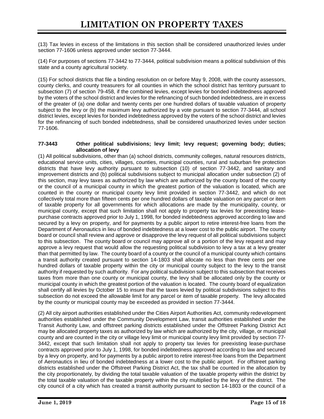(13) Tax levies in excess of the limitations in this section shall be considered unauthorized levies under section 77-1606 unless approved under section 77-3444.

(14) For purposes of sections 77-3442 to 77-3444, political subdivision means a political subdivision of this state and a county agricultural society.

(15) For school districts that file a binding resolution on or before May 9, 2008, with the county assessors, county clerks, and county treasurers for all counties in which the school district has territory pursuant to subsection (7) of section 79-458, if the combined levies, except levies for bonded indebtedness approved by the voters of the school district and levies for the refinancing of such bonded indebtedness, are in excess of the greater of (a) one dollar and twenty cents per one hundred dollars of taxable valuation of property subject to the levy or (b) the maximum levy authorized by a vote pursuant to section 77-3444, all school district levies, except levies for bonded indebtedness approved by the voters of the school district and levies for the refinancing of such bonded indebtedness, shall be considered unauthorized levies under section 77-1606.

#### **77-3443 Other political subdivisions; levy limit; levy request; governing body; duties; allocation of levy**

(1) All political subdivisions, other than (a) school districts, community colleges, natural resources districts, educational service units, cities, villages, counties, municipal counties, rural and suburban fire protection districts that have levy authority pursuant to subsection (10) of section 77-3442, and sanitary and improvement districts and (b) political subdivisions subject to municipal allocation under subsection (2) of this section, may levy taxes as authorized by law which are authorized by the county board of the county or the council of a municipal county in which the greatest portion of the valuation is located, which are counted in the county or municipal county levy limit provided in section 77-3442, and which do not collectively total more than fifteen cents per one hundred dollars of taxable valuation on any parcel or item of taxable property for all governments for which allocations are made by the municipality, county, or municipal county, except that such limitation shall not apply to property tax levies for preexisting leasepurchase contracts approved prior to July 1, 1998, for bonded indebtedness approved according to law and secured by a levy on property, and for payments by a public airport to retire interest-free loans from the Department of Aeronautics in lieu of bonded indebtedness at a lower cost to the public airport. The county board or council shall review and approve or disapprove the levy request of all political subdivisions subject to this subsection. The county board or council may approve all or a portion of the levy request and may approve a levy request that would allow the requesting political subdivision to levy a tax at a levy greater than that permitted by law. The county board of a county or the council of a municipal county which contains a transit authority created pursuant to section 14-1803 shall allocate no less than three cents per one hundred dollars of taxable property within the city or municipal county subject to the levy to the transit authority if requested by such authority. For any political subdivision subject to this subsection that receives taxes from more than one county or municipal county, the levy shall be allocated only by the county or municipal county in which the greatest portion of the valuation is located. The county board of equalization shall certify all levies by October 15 to insure that the taxes levied by political subdivisions subject to this subsection do not exceed the allowable limit for any parcel or item of taxable property. The levy allocated by the county or municipal county may be exceeded as provided in section 77-3444.

(2) All city airport authorities established under the Cities Airport Authorities Act, community redevelopment authorities established under the Community Development Law, transit authorities established under the Transit Authority Law, and offstreet parking districts established under the Offstreet Parking District Act may be allocated property taxes as authorized by law which are authorized by the city, village, or municipal county and are counted in the city or village levy limit or municipal county levy limit provided by section 77- 3442, except that such limitation shall not apply to property tax levies for preexisting lease-purchase contracts approved prior to July 1, 1998, for bonded indebtedness approved according to law and secured by a levy on property, and for payments by a public airport to retire interest-free loans from the Department of Aeronautics in lieu of bonded indebtedness at a lower cost to the public airport. For offstreet parking districts established under the Offstreet Parking District Act, the tax shall be counted in the allocation by the city proportionately, by dividing the total taxable valuation of the taxable property within the district by the total taxable valuation of the taxable property within the city multiplied by the levy of the district. The city council of a city which has created a transit authority pursuant to section 14-1803 or the council of a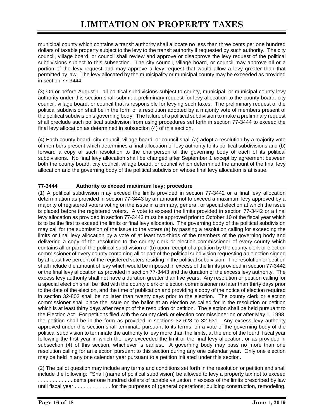municipal county which contains a transit authority shall allocate no less than three cents per one hundred dollars of taxable property subject to the levy to the transit authority if requested by such authority. The city council, village board, or council shall review and approve or disapprove the levy request of the political subdivisions subject to this subsection. The city council, village board, or council may approve all or a portion of the levy request and may approve a levy request that would allow a levy greater than that permitted by law. The levy allocated by the municipality or municipal county may be exceeded as provided in section 77-3444.

(3) On or before August 1, all political subdivisions subject to county, municipal, or municipal county levy authority under this section shall submit a preliminary request for levy allocation to the county board, city council, village board, or council that is responsible for levying such taxes. The preliminary request of the political subdivision shall be in the form of a resolution adopted by a majority vote of members present of the political subdivision's governing body. The failure of a political subdivision to make a preliminary request shall preclude such political subdivision from using procedures set forth in section 77-3444 to exceed the final levy allocation as determined in subsection (4) of this section.

(4) Each county board, city council, village board, or council shall (a) adopt a resolution by a majority vote of members present which determines a final allocation of levy authority to its political subdivisions and (b) forward a copy of such resolution to the chairperson of the governing body of each of its political subdivisions. No final levy allocation shall be changed after September 1 except by agreement between both the county board, city council, village board, or council which determined the amount of the final levy allocation and the governing body of the political subdivision whose final levy allocation is at issue.

# **77-3444 Authority to exceed maximum levy; procedure**

(1) A political subdivision may exceed the limits provided in section 77-3442 or a final levy allocation determination as provided in section 77-3443 by an amount not to exceed a maximum levy approved by a majority of registered voters voting on the issue in a primary, general, or special election at which the issue is placed before the registered voters. A vote to exceed the limits provided in section 77-3442 or a final levy allocation as provided in section 77-3443 must be approved prior to October 10 of the fiscal year which is to be the first to exceed the limits or final levy allocation. The governing body of the political subdivision may call for the submission of the issue to the voters (a) by passing a resolution calling for exceeding the limits or final levy allocation by a vote of at least two-thirds of the members of the governing body and delivering a copy of the resolution to the county clerk or election commissioner of every county which contains all or part of the political subdivision or (b) upon receipt of a petition by the county clerk or election commissioner of every county containing all or part of the political subdivision requesting an election signed by at least five percent of the registered voters residing in the political subdivision. The resolution or petition shall include the amount of levy which would be imposed in excess of the limits provided in section 77-3442 or the final levy allocation as provided in section 77-3443 and the duration of the excess levy authority. The excess levy authority shall not have a duration greater than five years. Any resolution or petition calling for a special election shall be filed with the county clerk or election commissioner no later than thirty days prior to the date of the election, and the time of publication and providing a copy of the notice of election required in section 32-802 shall be no later than twenty days prior to the election. The county clerk or election commissioner shall place the issue on the ballot at an election as called for in the resolution or petition which is at least thirty days after receipt of the resolution or petition. The election shall be held pursuant to the Election Act. For petitions filed with the county clerk or election commissioner on or after May 1, 1998, the petition shall be in the form as provided in sections 32-628 to 32-631. Any excess levy authority approved under this section shall terminate pursuant to its terms, on a vote of the governing body of the political subdivision to terminate the authority to levy more than the limits, at the end of the fourth fiscal year following the first year in which the levy exceeded the limit or the final levy allocation, or as provided in subsection (4) of this section, whichever is earliest. A governing body may pass no more than one resolution calling for an election pursuant to this section during any one calendar year. Only one election may be held in any one calendar year pursuant to a petition initiated under this section.

(2) The ballot question may include any terms and conditions set forth in the resolution or petition and shall include the following: "Shall (name of political subdivision) be allowed to levy a property tax not to exceed . . . . . . . . . . . . cents per one hundred dollars of taxable valuation in excess of the limits prescribed by law until fiscal year . . . . . . . . . . . . for the purposes of (general operations; building construction, remodeling,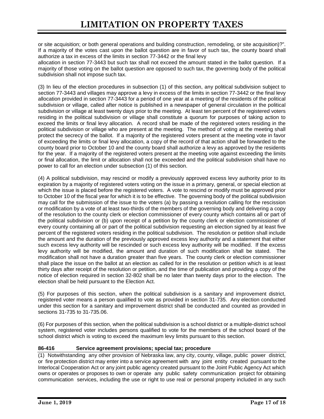or site acquisition; or both general operations and building construction, remodeling, or site acquisition)?". If a majority of the votes cast upon the ballot question are in favor of such tax, the county board shall authorize a tax in excess of the limits in section 77-3442 or the final levy

allocation in section 77-3443 but such tax shall not exceed the amount stated in the ballot question. If a majority of those voting on the ballot question are opposed to such tax, the governing body of the political subdivision shall not impose such tax.

(3) In lieu of the election procedures in subsection (1) of this section, any political subdivision subject to section 77-3443 and villages may approve a levy in excess of the limits in section 77-3442 or the final levy allocation provided in section 77-3443 for a period of one year at a meeting of the residents of the political subdivision or village, called after notice is published in a newspaper of general circulation in the political subdivision or village at least twenty days prior to the meeting. At least ten percent of the registered voters residing in the political subdivision or village shall constitute a quorum for purposes of taking action to exceed the limits or final levy allocation. A record shall be made of the registered voters residing in the political subdivision or village who are present at the meeting. The method of voting at the meeting shall protect the secrecy of the ballot. If a majority of the registered voters present at the meeting vote in favor of exceeding the limits or final levy allocation, a copy of the record of that action shall be forwarded to the county board prior to October 10 and the county board shall authorize a levy as approved by the residents for the year. If a majority of the registered voters present at the meeting vote against exceeding the limits or final allocation, the limit or allocation shall not be exceeded and the political subdivision shall have no power to call for an election under subsection (1) of this section.

(4) A political subdivision, may rescind or modify a previously approved excess levy authority prior to its expiration by a majority of registered voters voting on the issue in a primary, general, or special election at which the issue is placed before the registered voters. A vote to rescind or modify must be approved prior to October 10 of the fiscal year for which it is to be effective. The governing body of the political subdivision may call for the submission of the issue to the voters (a) by passing a resolution calling for the rescission or modification by a vote of at least two-thirds of the members of the governing body and delivering a copy of the resolution to the county clerk or election commissioner of every county which contains all or part of the political subdivision or (b) upon receipt of a petition by the county clerk or election commissioner of every county containing all or part of the political subdivision requesting an election signed by at least five percent of the registered voters residing in the political subdivision. The resolution or petition shall include the amount and the duration of the previously approved excess levy authority and a statement that either such excess levy authority will be rescinded or such excess levy authority will be modified. If the excess levy authority will be modified, the amount and duration of such modification shall be stated. The modification shall not have a duration greater than five years. The county clerk or election commissioner shall place the issue on the ballot at an election as called for in the resolution or petition which is at least thirty days after receipt of the resolution or petition, and the time of publication and providing a copy of the notice of election required in section 32-802 shall be no later than twenty days prior to the election. The election shall be held pursuant to the Election Act.

(5) For purposes of this section, when the political subdivision is a sanitary and improvement district, registered voter means a person qualified to vote as provided in section 31-735. Any election conducted under this section for a sanitary and improvement district shall be conducted and counted as provided in sections 31-735 to 31-735.06.

(6) For purposes of this section, when the political subdivision is a school district or a multiple-district school system, registered voter includes persons qualified to vote for the members of the school board of the school district which is voting to exceed the maximum levy limits pursuant to this section.

# **86-416 Service agreement provisions; special tax; procedure**

(1) Notwithstanding any other provision of Nebraska law, any city, county, village, public power district, or fire protection district may enter into a service agreement with any joint entity created pursuant to the Interlocal Cooperation Act or any joint public agency created pursuant to the Joint Public Agency Act which owns or operates or proposes to own or operate any public safety communication project for obtaining communication services, including the use or right to use real or personal property included in any such